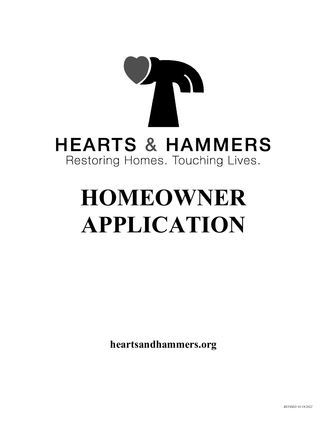# **HEARTS & HAMMERS** Restoring Homes. Touching Lives.

# **HOMEOWNER APPLICATION**

**heartsandhammers.org**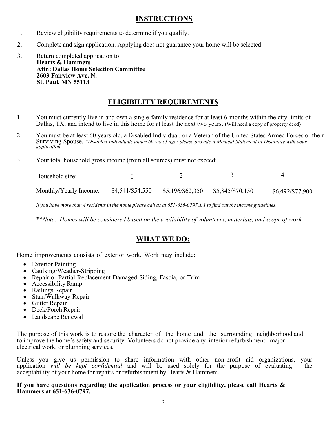### **INSTRUCTIONS**

- 1. Review eligibility requirements to determine if you qualify.
- 2. Complete and sign application. Applying does not guarantee your home will be selected.
- 3. Return completed application to: **Hearts & Hammers Attn: Dallas Home Selection Committee 2603 Fairview Ave. N. St. Paul, MN 55113**

### **ELIGIBILITY REQUIREMENTS**

- 1. You must currently live in and own a single-family residence for at least 6-months within the city limits of Dallas, TX, and intend to live in this home for at least the next two years. (Will need a copy of property deed)
- 2. You must be at least 60 years old, a Disabled Individual, or a Veteran of the United States Armed Forces or their Surviving Spouse. *\*Disabled Individuals under 60 yrs of age; please provide a Medical Statement of Disability with your application.*
- 3. Your total household gross income (from all sources) must not exceed:

| Household size:        |                  |                                     |                  |  |
|------------------------|------------------|-------------------------------------|------------------|--|
| Monthly/Yearly Income: | \$4,541/\$54,550 | $$5,196/\$62,350$ $$5,845/\$70,150$ | \$6,492/\$77,900 |  |

If you have more than 4 residents in the home please call as at  $651-636-0797 X1$  to find out the income guidelines.

\*\**Note: Homes will be considered based on the availability of volunteers, materials, and scope of work.*

# **WHAT WE DO:**

Home improvements consists of exterior work. Work may include:

- Exterior Painting
- Caulking/Weather-Stripping
- Repair or Partial Replacement Damaged Siding, Fascia, or Trim
- Accessibility Ramp
- Railings Repair
- Stair/Walkway Repair
- Gutter Repair
- Deck/Porch Repair
- Landscape Renewal

The purpose of this work is to restore the character of the home and the surrounding neighborhood and to improve the home's safety and security. Volunteers do not provide any interior refurbishment, major electrical work, or plumbing services.

Unless you give us permission to share information with other non-profit aid organizations, your application *will be kept confidential* and will be used solely for the purpose of evaluating the acceptability of your home for repairs or refurbishment by Hearts & Hammers.

**If you have questions regarding the application process or your eligibility, please call Hearts & Hammers at 651-636-0797.**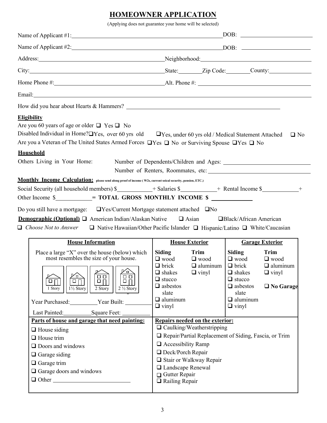# **HOMEOWNER APPLICATION**

(Applying does not guarantee your home will be selected)

| Name of Applicant #1:                                                                                                                                                                                                                                                                                                                                                                                                                                                                                                                                                                                                                                                                                                                                                                                                                                                                                     |                                                                                                                                                                                                                                                    |                                                                     |                                                                                                                        |                                                                       |  |
|-----------------------------------------------------------------------------------------------------------------------------------------------------------------------------------------------------------------------------------------------------------------------------------------------------------------------------------------------------------------------------------------------------------------------------------------------------------------------------------------------------------------------------------------------------------------------------------------------------------------------------------------------------------------------------------------------------------------------------------------------------------------------------------------------------------------------------------------------------------------------------------------------------------|----------------------------------------------------------------------------------------------------------------------------------------------------------------------------------------------------------------------------------------------------|---------------------------------------------------------------------|------------------------------------------------------------------------------------------------------------------------|-----------------------------------------------------------------------|--|
|                                                                                                                                                                                                                                                                                                                                                                                                                                                                                                                                                                                                                                                                                                                                                                                                                                                                                                           |                                                                                                                                                                                                                                                    |                                                                     |                                                                                                                        |                                                                       |  |
| Address: Neighborhood: Neighborhood: Neighborhood: Neighborhood:                                                                                                                                                                                                                                                                                                                                                                                                                                                                                                                                                                                                                                                                                                                                                                                                                                          |                                                                                                                                                                                                                                                    |                                                                     |                                                                                                                        |                                                                       |  |
| City: City: Current County: City: County: County:                                                                                                                                                                                                                                                                                                                                                                                                                                                                                                                                                                                                                                                                                                                                                                                                                                                         |                                                                                                                                                                                                                                                    |                                                                     |                                                                                                                        |                                                                       |  |
|                                                                                                                                                                                                                                                                                                                                                                                                                                                                                                                                                                                                                                                                                                                                                                                                                                                                                                           |                                                                                                                                                                                                                                                    |                                                                     |                                                                                                                        |                                                                       |  |
|                                                                                                                                                                                                                                                                                                                                                                                                                                                                                                                                                                                                                                                                                                                                                                                                                                                                                                           |                                                                                                                                                                                                                                                    |                                                                     |                                                                                                                        |                                                                       |  |
|                                                                                                                                                                                                                                                                                                                                                                                                                                                                                                                                                                                                                                                                                                                                                                                                                                                                                                           |                                                                                                                                                                                                                                                    |                                                                     |                                                                                                                        |                                                                       |  |
| <b>Eligibility</b><br>Are you 60 years of age or older $\Box$ Yes $\Box$ No<br>Disabled Individual in Home?□Yes, over 60 yrs old □Yes, under 60 yrs old / Medical Statement Attached<br>Are you a Veteran of The United States Armed Forces QYes Q No or Surviving Spouse QYes Q No<br>Household<br>Others Living in Your Home: Number of Dependents/Children and Ages: ________________________________<br>Monthly Income Calculation: please send along proof of income (W2s, current soical security, pension, ETC.)<br>Social Security (all household members) $\frac{\sqrt{2}}{2}$ + Salaries $\frac{\sqrt{2}}{2}$ + Rental Income $\frac{\sqrt{2}}{2}$ +<br>Other Income \$___________= TOTAL GROSS MONTHLY INCOME \$<br>Do you still have a mortgage: $\Box$ Yes/Current Mortgage statement attached $\Box$ No<br><b>Demographic (Optional)</b> $\Box$ American Indian/Alaskan Native $\Box$ Asian |                                                                                                                                                                                                                                                    |                                                                     | □Black/African American                                                                                                | $\Box$ No<br>Number of Renters, Roommates, etc:                       |  |
| $\Box$ Choose Not to Answer $\Box$ Native Hawaiian/Other Pacific Islander $\Box$ Hispanic/Latino $\Box$ White/Caucasian<br><b>House Information</b>                                                                                                                                                                                                                                                                                                                                                                                                                                                                                                                                                                                                                                                                                                                                                       | <b>House Exterior</b>                                                                                                                                                                                                                              |                                                                     |                                                                                                                        | <b>Garage Exterior</b>                                                |  |
| Place a large "X" over the house (below) which<br>most resembles the size of your house.<br><u> እማ</u><br>Ō<br>8 B<br>8 B<br>$\Box$<br>$\Box$ [<br>$\Box$<br>$\Box$ $\Box$<br>1½ Story<br>1 Story<br>2 Story<br>$2\ \%$ Story<br>Year Purchased: Year Built:<br>Last Painted: Square Feet:<br>Parts of house and garage that need painting:                                                                                                                                                                                                                                                                                                                                                                                                                                                                                                                                                               | Siding<br>$\Box$ wood<br>$\Box$ brick<br>$\Box$ shakes<br>$\Box$ stucco<br>$\Box$ asbestos<br>slate<br>$\Box$ aluminum<br>$\Box$ vinyl<br>Repairs needed on the exterior:                                                                          | Trim<br>$\Box$ wood<br>$\Box$ aluminum $\Box$ brick<br>$\Box$ vinyl | Siding<br>$\Box$ wood<br>$\Box$ shakes<br>$\Box$ stucco<br>$\Box$ asbestos<br>slate<br>$\Box$ aluminum<br>$\Box$ vinyl | Trim<br>$\Box$ wood<br>$\Box$ aluminum<br>$\Box$ vinyl<br>□ No Garage |  |
| $\Box$ House siding<br>$\Box$ House trim<br>$\Box$ Doors and windows<br>$\Box$ Garage siding<br>$\Box$ Garage trim<br>$\hfill\Box$ Garage doors and windows<br>$\Box$ Other                                                                                                                                                                                                                                                                                                                                                                                                                                                                                                                                                                                                                                                                                                                               | $\Box$ Caulking/Weatherstripping<br>□ Repair/Partial Replacement of Siding, Fascia, or Trim<br>$\Box$ Accessibility Ramp<br>□ Deck/Porch Repair<br>Stair or Walkway Repair<br>□ Landscape Renewal<br>$\Box$ Gutter Repair<br>$\Box$ Railing Repair |                                                                     |                                                                                                                        |                                                                       |  |